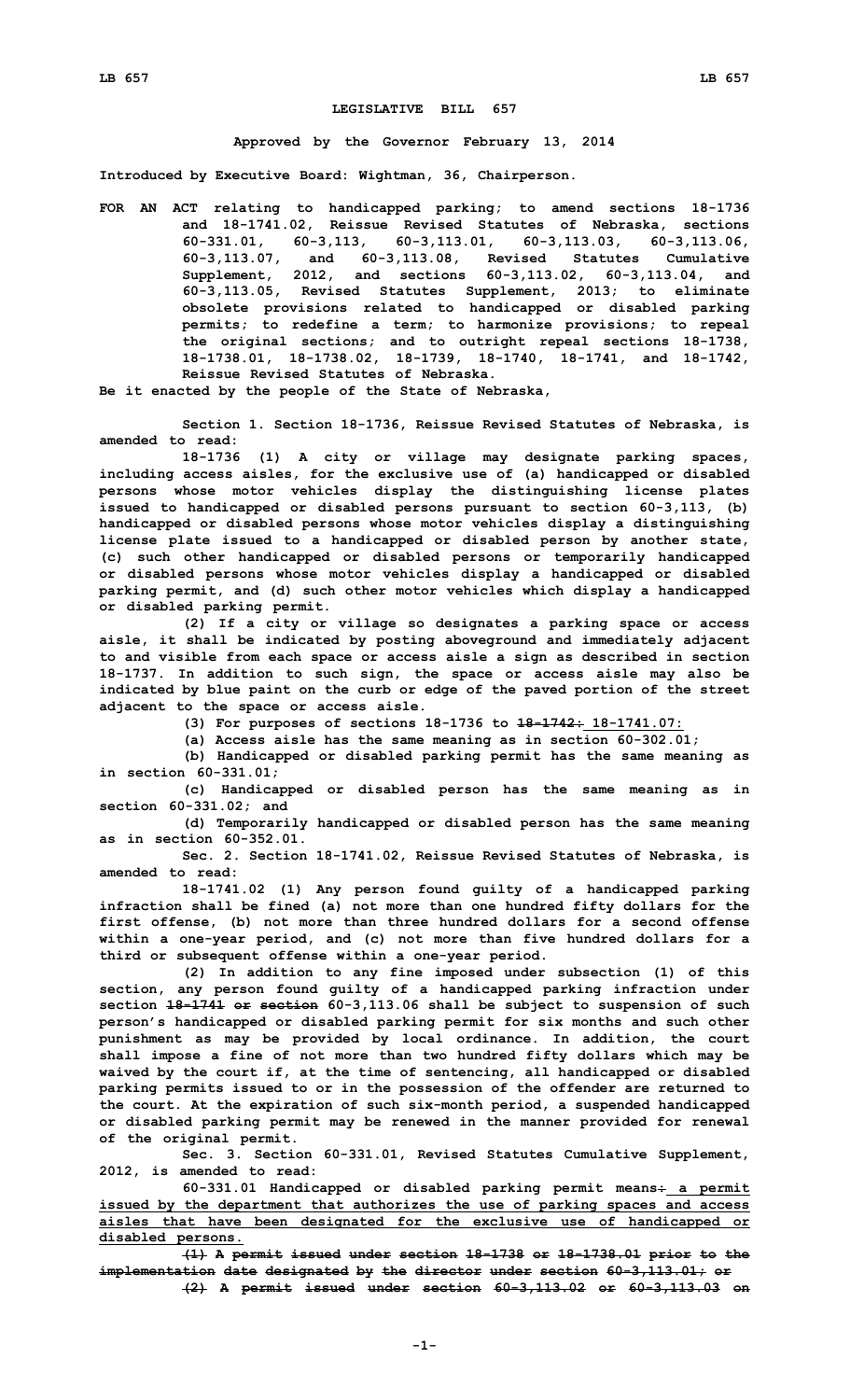## **LEGISLATIVE BILL 657**

## **Approved by the Governor February 13, 2014**

**Introduced by Executive Board: Wightman, 36, Chairperson.**

**FOR AN ACT relating to handicapped parking; to amend sections 18-1736 and 18-1741.02, Reissue Revised Statutes of Nebraska, sections 60-331.01, 60-3,113, 60-3,113.01, 60-3,113.03, 60-3,113.06, 60-3,113.07, and 60-3,113.08, Revised Statutes Cumulative Supplement, 2012, and sections 60-3,113.02, 60-3,113.04, and 60-3,113.05, Revised Statutes Supplement, 2013; to eliminate obsolete provisions related to handicapped or disabled parking permits; to redefine <sup>a</sup> term; to harmonize provisions; to repeal the original sections; and to outright repeal sections 18-1738, 18-1738.01, 18-1738.02, 18-1739, 18-1740, 18-1741, and 18-1742, Reissue Revised Statutes of Nebraska.**

**Be it enacted by the people of the State of Nebraska,**

**Section 1. Section 18-1736, Reissue Revised Statutes of Nebraska, is amended to read:**

**18-1736 (1) <sup>A</sup> city or village may designate parking spaces, including access aisles, for the exclusive use of (a) handicapped or disabled persons whose motor vehicles display the distinguishing license plates issued to handicapped or disabled persons pursuant to section 60-3,113, (b) handicapped or disabled persons whose motor vehicles display <sup>a</sup> distinguishing license plate issued to <sup>a</sup> handicapped or disabled person by another state, (c) such other handicapped or disabled persons or temporarily handicapped or disabled persons whose motor vehicles display <sup>a</sup> handicapped or disabled parking permit, and (d) such other motor vehicles which display <sup>a</sup> handicapped or disabled parking permit.**

**(2) If <sup>a</sup> city or village so designates <sup>a</sup> parking space or access aisle, it shall be indicated by posting aboveground and immediately adjacent to and visible from each space or access aisle <sup>a</sup> sign as described in section 18-1737. In addition to such sign, the space or access aisle may also be indicated by blue paint on the curb or edge of the paved portion of the street adjacent to the space or access aisle.**

**(3) For purposes of sections 18-1736 to 18-1742: 18-1741.07:**

**(a) Access aisle has the same meaning as in section 60-302.01;**

**(b) Handicapped or disabled parking permit has the same meaning as in section 60-331.01;**

**(c) Handicapped or disabled person has the same meaning as in section 60-331.02; and**

**(d) Temporarily handicapped or disabled person has the same meaning as in section 60-352.01.**

**Sec. 2. Section 18-1741.02, Reissue Revised Statutes of Nebraska, is amended to read:**

**18-1741.02 (1) Any person found guilty of <sup>a</sup> handicapped parking infraction shall be fined (a) not more than one hundred fifty dollars for the first offense, (b) not more than three hundred dollars for <sup>a</sup> second offense within <sup>a</sup> one-year period, and (c) not more than five hundred dollars for <sup>a</sup> third or subsequent offense within <sup>a</sup> one-year period.**

**(2) In addition to any fine imposed under subsection (1) of this section, any person found guilty of <sup>a</sup> handicapped parking infraction under section 18-1741 or section 60-3,113.06 shall be subject to suspension of such person's handicapped or disabled parking permit for six months and such other punishment as may be provided by local ordinance. In addition, the court shall impose <sup>a</sup> fine of not more than two hundred fifty dollars which may be waived by the court if, at the time of sentencing, all handicapped or disabled parking permits issued to or in the possession of the offender are returned to the court. At the expiration of such six-month period, <sup>a</sup> suspended handicapped or disabled parking permit may be renewed in the manner provided for renewal of the original permit.**

**Sec. 3. Section 60-331.01, Revised Statutes Cumulative Supplement, 2012, is amended to read:**

**60-331.01 Handicapped or disabled parking permit means: <sup>a</sup> permit issued by the department that authorizes the use of parking spaces and access aisles that have been designated for the exclusive use of handicapped or disabled persons.**

**(1) <sup>A</sup> permit issued under section 18-1738 or 18-1738.01 prior to the implementation date designated by the director under section 60-3,113.01; or**

**(2) <sup>A</sup> permit issued under section 60-3,113.02 or 60-3,113.03 on**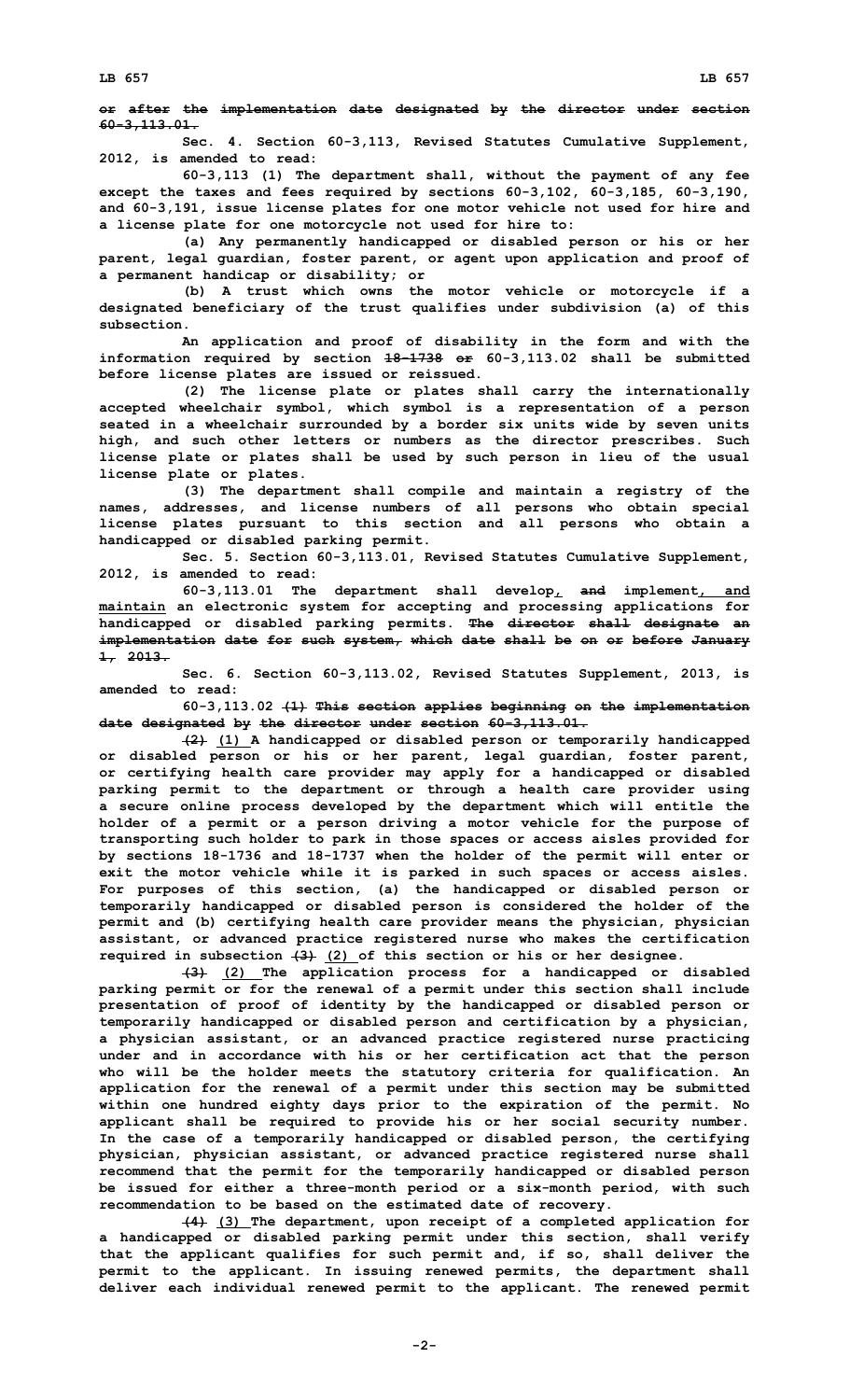**Sec. 4. Section 60-3,113, Revised Statutes Cumulative Supplement, 2012, is amended to read:**

**60-3,113 (1) The department shall, without the payment of any fee except the taxes and fees required by sections 60-3,102, 60-3,185, 60-3,190, and 60-3,191, issue license plates for one motor vehicle not used for hire and <sup>a</sup> license plate for one motorcycle not used for hire to:**

**(a) Any permanently handicapped or disabled person or his or her parent, legal guardian, foster parent, or agent upon application and proof of <sup>a</sup> permanent handicap or disability; or**

**(b) <sup>A</sup> trust which owns the motor vehicle or motorcycle if <sup>a</sup> designated beneficiary of the trust qualifies under subdivision (a) of this subsection.**

**An application and proof of disability in the form and with the information required by section 18-1738 or 60-3,113.02 shall be submitted before license plates are issued or reissued.**

**(2) The license plate or plates shall carry the internationally accepted wheelchair symbol, which symbol is <sup>a</sup> representation of <sup>a</sup> person seated in <sup>a</sup> wheelchair surrounded by <sup>a</sup> border six units wide by seven units high, and such other letters or numbers as the director prescribes. Such license plate or plates shall be used by such person in lieu of the usual license plate or plates.**

**(3) The department shall compile and maintain <sup>a</sup> registry of the names, addresses, and license numbers of all persons who obtain special license plates pursuant to this section and all persons who obtain <sup>a</sup> handicapped or disabled parking permit.**

**Sec. 5. Section 60-3,113.01, Revised Statutes Cumulative Supplement, 2012, is amended to read:**

**60-3,113.01 The department shall develop, and implement, and maintain an electronic system for accepting and processing applications for handicapped or disabled parking permits. The director shall designate an implementation date for such system, which date shall be on or before January 1, 2013.**

**Sec. 6. Section 60-3,113.02, Revised Statutes Supplement, 2013, is amended to read:**

**60-3,113.02 (1) This section applies beginning on the implementation date designated by the director under section 60-3,113.01.**

**(2) (1) <sup>A</sup> handicapped or disabled person or temporarily handicapped or disabled person or his or her parent, legal guardian, foster parent, or certifying health care provider may apply for <sup>a</sup> handicapped or disabled parking permit to the department or through <sup>a</sup> health care provider using <sup>a</sup> secure online process developed by the department which will entitle the holder of <sup>a</sup> permit or <sup>a</sup> person driving <sup>a</sup> motor vehicle for the purpose of transporting such holder to park in those spaces or access aisles provided for by sections 18-1736 and 18-1737 when the holder of the permit will enter or exit the motor vehicle while it is parked in such spaces or access aisles. For purposes of this section, (a) the handicapped or disabled person or temporarily handicapped or disabled person is considered the holder of the permit and (b) certifying health care provider means the physician, physician assistant, or advanced practice registered nurse who makes the certification required in subsection (3) (2) of this section or his or her designee.**

**(3) (2) The application process for <sup>a</sup> handicapped or disabled parking permit or for the renewal of <sup>a</sup> permit under this section shall include presentation of proof of identity by the handicapped or disabled person or temporarily handicapped or disabled person and certification by <sup>a</sup> physician, <sup>a</sup> physician assistant, or an advanced practice registered nurse practicing under and in accordance with his or her certification act that the person who will be the holder meets the statutory criteria for qualification. An application for the renewal of <sup>a</sup> permit under this section may be submitted within one hundred eighty days prior to the expiration of the permit. No applicant shall be required to provide his or her social security number. In the case of <sup>a</sup> temporarily handicapped or disabled person, the certifying physician, physician assistant, or advanced practice registered nurse shall recommend that the permit for the temporarily handicapped or disabled person be issued for either <sup>a</sup> three-month period or <sup>a</sup> six-month period, with such recommendation to be based on the estimated date of recovery.**

**(4) (3) The department, upon receipt of <sup>a</sup> completed application for <sup>a</sup> handicapped or disabled parking permit under this section, shall verify that the applicant qualifies for such permit and, if so, shall deliver the permit to the applicant. In issuing renewed permits, the department shall deliver each individual renewed permit to the applicant. The renewed permit**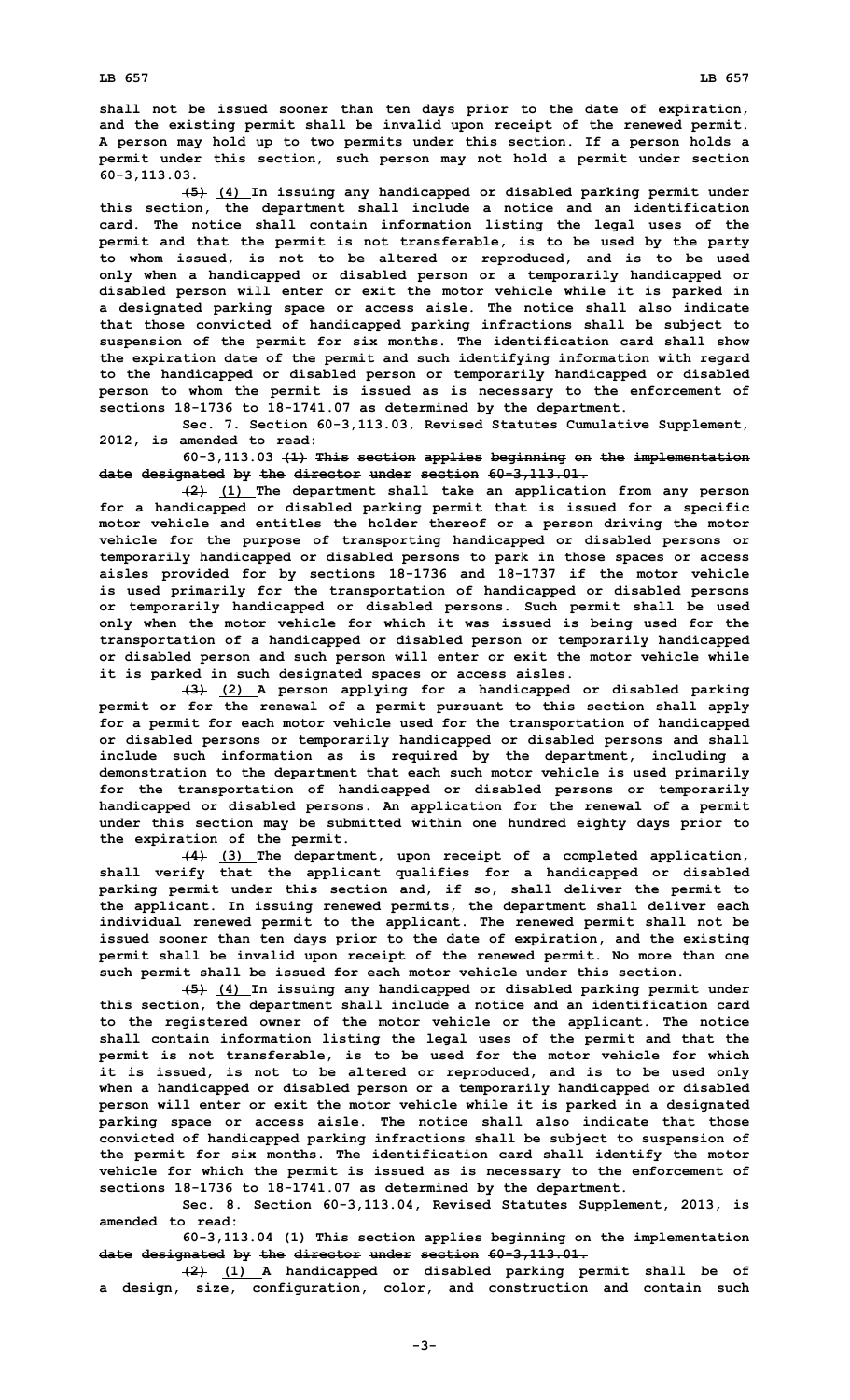**shall not be issued sooner than ten days prior to the date of expiration, and the existing permit shall be invalid upon receipt of the renewed permit. A person may hold up to two permits under this section. If <sup>a</sup> person holds <sup>a</sup> permit under this section, such person may not hold <sup>a</sup> permit under section 60-3,113.03.**

**(5) (4) In issuing any handicapped or disabled parking permit under this section, the department shall include <sup>a</sup> notice and an identification card. The notice shall contain information listing the legal uses of the permit and that the permit is not transferable, is to be used by the party to whom issued, is not to be altered or reproduced, and is to be used only when <sup>a</sup> handicapped or disabled person or <sup>a</sup> temporarily handicapped or disabled person will enter or exit the motor vehicle while it is parked in <sup>a</sup> designated parking space or access aisle. The notice shall also indicate that those convicted of handicapped parking infractions shall be subject to suspension of the permit for six months. The identification card shall show the expiration date of the permit and such identifying information with regard to the handicapped or disabled person or temporarily handicapped or disabled person to whom the permit is issued as is necessary to the enforcement of sections 18-1736 to 18-1741.07 as determined by the department.**

**Sec. 7. Section 60-3,113.03, Revised Statutes Cumulative Supplement, 2012, is amended to read:**

**60-3,113.03 (1) This section applies beginning on the implementation date designated by the director under section 60-3,113.01.**

**(2) (1) The department shall take an application from any person for <sup>a</sup> handicapped or disabled parking permit that is issued for <sup>a</sup> specific motor vehicle and entitles the holder thereof or <sup>a</sup> person driving the motor vehicle for the purpose of transporting handicapped or disabled persons or temporarily handicapped or disabled persons to park in those spaces or access aisles provided for by sections 18-1736 and 18-1737 if the motor vehicle is used primarily for the transportation of handicapped or disabled persons or temporarily handicapped or disabled persons. Such permit shall be used only when the motor vehicle for which it was issued is being used for the transportation of <sup>a</sup> handicapped or disabled person or temporarily handicapped or disabled person and such person will enter or exit the motor vehicle while it is parked in such designated spaces or access aisles.**

**(3) (2) <sup>A</sup> person applying for <sup>a</sup> handicapped or disabled parking permit or for the renewal of <sup>a</sup> permit pursuant to this section shall apply for <sup>a</sup> permit for each motor vehicle used for the transportation of handicapped or disabled persons or temporarily handicapped or disabled persons and shall include such information as is required by the department, including <sup>a</sup> demonstration to the department that each such motor vehicle is used primarily for the transportation of handicapped or disabled persons or temporarily handicapped or disabled persons. An application for the renewal of <sup>a</sup> permit under this section may be submitted within one hundred eighty days prior to the expiration of the permit.**

**(4) (3) The department, upon receipt of <sup>a</sup> completed application, shall verify that the applicant qualifies for <sup>a</sup> handicapped or disabled parking permit under this section and, if so, shall deliver the permit to the applicant. In issuing renewed permits, the department shall deliver each individual renewed permit to the applicant. The renewed permit shall not be issued sooner than ten days prior to the date of expiration, and the existing permit shall be invalid upon receipt of the renewed permit. No more than one such permit shall be issued for each motor vehicle under this section.**

**(5) (4) In issuing any handicapped or disabled parking permit under this section, the department shall include <sup>a</sup> notice and an identification card to the registered owner of the motor vehicle or the applicant. The notice shall contain information listing the legal uses of the permit and that the permit is not transferable, is to be used for the motor vehicle for which it is issued, is not to be altered or reproduced, and is to be used only when <sup>a</sup> handicapped or disabled person or <sup>a</sup> temporarily handicapped or disabled person will enter or exit the motor vehicle while it is parked in <sup>a</sup> designated parking space or access aisle. The notice shall also indicate that those convicted of handicapped parking infractions shall be subject to suspension of the permit for six months. The identification card shall identify the motor vehicle for which the permit is issued as is necessary to the enforcement of sections 18-1736 to 18-1741.07 as determined by the department.**

**Sec. 8. Section 60-3,113.04, Revised Statutes Supplement, 2013, is amended to read:**

**60-3,113.04 (1) This section applies beginning on the implementation date designated by the director under section 60-3,113.01.**

**(2) (1) <sup>A</sup> handicapped or disabled parking permit shall be of <sup>a</sup> design, size, configuration, color, and construction and contain such**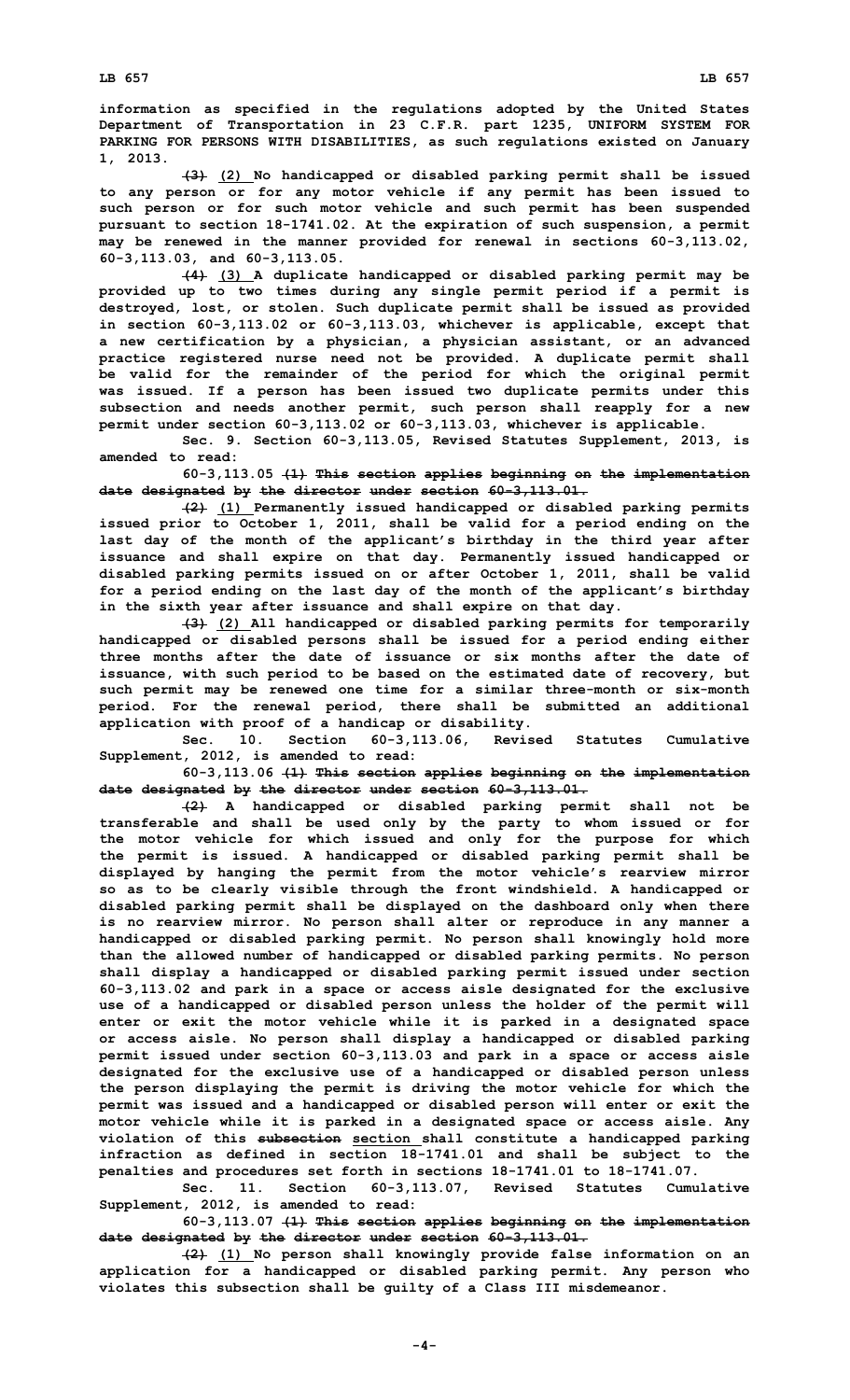**information as specified in the regulations adopted by the United States Department of Transportation in 23 C.F.R. part 1235, UNIFORM SYSTEM FOR PARKING FOR PERSONS WITH DISABILITIES, as such regulations existed on January 1, 2013.**

**(3) (2) No handicapped or disabled parking permit shall be issued to any person or for any motor vehicle if any permit has been issued to such person or for such motor vehicle and such permit has been suspended pursuant to section 18-1741.02. At the expiration of such suspension, <sup>a</sup> permit may be renewed in the manner provided for renewal in sections 60-3,113.02, 60-3,113.03, and 60-3,113.05.**

**(4) (3) <sup>A</sup> duplicate handicapped or disabled parking permit may be provided up to two times during any single permit period if <sup>a</sup> permit is destroyed, lost, or stolen. Such duplicate permit shall be issued as provided in section 60-3,113.02 or 60-3,113.03, whichever is applicable, except that <sup>a</sup> new certification by <sup>a</sup> physician, <sup>a</sup> physician assistant, or an advanced practice registered nurse need not be provided. A duplicate permit shall be valid for the remainder of the period for which the original permit was issued. If <sup>a</sup> person has been issued two duplicate permits under this subsection and needs another permit, such person shall reapply for <sup>a</sup> new permit under section 60-3,113.02 or 60-3,113.03, whichever is applicable.**

**Sec. 9. Section 60-3,113.05, Revised Statutes Supplement, 2013, is amended to read:**

**60-3,113.05 (1) This section applies beginning on the implementation date designated by the director under section 60-3,113.01.**

**(2) (1) Permanently issued handicapped or disabled parking permits issued prior to October 1, 2011, shall be valid for <sup>a</sup> period ending on the last day of the month of the applicant's birthday in the third year after issuance and shall expire on that day. Permanently issued handicapped or disabled parking permits issued on or after October 1, 2011, shall be valid for <sup>a</sup> period ending on the last day of the month of the applicant's birthday in the sixth year after issuance and shall expire on that day.**

**(3) (2) All handicapped or disabled parking permits for temporarily handicapped or disabled persons shall be issued for <sup>a</sup> period ending either three months after the date of issuance or six months after the date of issuance, with such period to be based on the estimated date of recovery, but such permit may be renewed one time for <sup>a</sup> similar three-month or six-month period. For the renewal period, there shall be submitted an additional application with proof of <sup>a</sup> handicap or disability.**

**Sec. 10. Section 60-3,113.06, Revised Statutes Cumulative Supplement, 2012, is amended to read:**

**60-3,113.06 (1) This section applies beginning on the implementation date designated by the director under section 60-3,113.01.**

**(2) <sup>A</sup> handicapped or disabled parking permit shall not be transferable and shall be used only by the party to whom issued or for the motor vehicle for which issued and only for the purpose for which the permit is issued. A handicapped or disabled parking permit shall be displayed by hanging the permit from the motor vehicle's rearview mirror so as to be clearly visible through the front windshield. A handicapped or disabled parking permit shall be displayed on the dashboard only when there is no rearview mirror. No person shall alter or reproduce in any manner <sup>a</sup> handicapped or disabled parking permit. No person shall knowingly hold more than the allowed number of handicapped or disabled parking permits. No person shall display <sup>a</sup> handicapped or disabled parking permit issued under section 60-3,113.02 and park in <sup>a</sup> space or access aisle designated for the exclusive use of <sup>a</sup> handicapped or disabled person unless the holder of the permit will enter or exit the motor vehicle while it is parked in <sup>a</sup> designated space or access aisle. No person shall display <sup>a</sup> handicapped or disabled parking permit issued under section 60-3,113.03 and park in <sup>a</sup> space or access aisle designated for the exclusive use of <sup>a</sup> handicapped or disabled person unless the person displaying the permit is driving the motor vehicle for which the permit was issued and <sup>a</sup> handicapped or disabled person will enter or exit the motor vehicle while it is parked in <sup>a</sup> designated space or access aisle. Any violation of this subsection section shall constitute <sup>a</sup> handicapped parking infraction as defined in section 18-1741.01 and shall be subject to the penalties and procedures set forth in sections 18-1741.01 to 18-1741.07.**

**Sec. 11. Section 60-3,113.07, Revised Statutes Cumulative Supplement, 2012, is amended to read:**

**60-3,113.07 (1) This section applies beginning on the implementation date designated by the director under section 60-3,113.01.**

**(2) (1) No person shall knowingly provide false information on an application for <sup>a</sup> handicapped or disabled parking permit. Any person who violates this subsection shall be guilty of <sup>a</sup> Class III misdemeanor.**